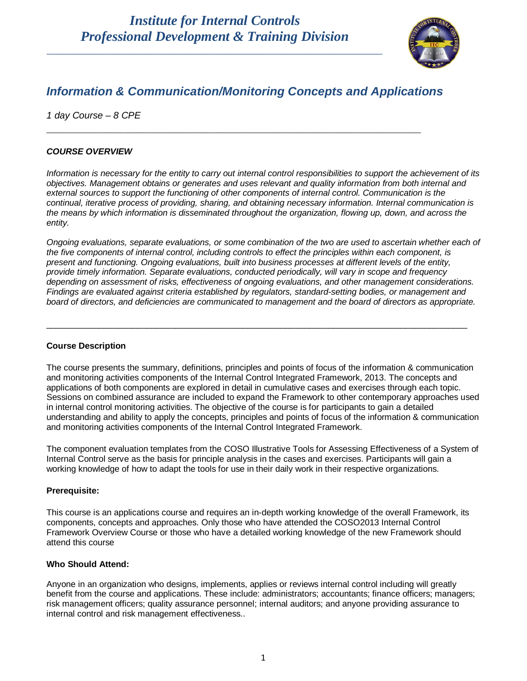\_\_\_\_\_\_\_\_\_\_\_\_\_\_\_\_\_\_\_\_\_\_\_\_\_\_\_\_\_\_\_\_\_\_\_\_\_\_\_\_\_\_\_\_\_\_\_\_\_\_\_\_\_\_\_\_\_\_\_\_\_\_\_\_\_



### *Information & Communication/Monitoring Concepts and Applications*

**\_\_\_\_\_\_\_\_\_\_\_\_\_\_\_\_\_\_\_\_\_\_\_\_\_\_\_\_\_\_\_\_\_\_\_\_\_\_\_\_\_\_\_\_\_\_\_\_\_\_\_\_\_\_\_\_\_\_**

*1 day Course – 8 CPE*

### *COURSE OVERVIEW*

*Information is necessary for the entity to carry out internal control responsibilities to support the achievement of its objectives. Management obtains or generates and uses relevant and quality information from both internal and external sources to support the functioning of other components of internal control. Communication is the continual, iterative process of providing, sharing, and obtaining necessary information. Internal communication is the means by which information is disseminated throughout the organization, flowing up, down, and across the entity.*

*Ongoing evaluations, separate evaluations, or some combination of the two are used to ascertain whether each of the five components of internal control, including controls to effect the principles within each component, is present and functioning. Ongoing evaluations, built into business processes at different levels of the entity, provide timely information. Separate evaluations, conducted periodically, will vary in scope and frequency depending on assessment of risks, effectiveness of ongoing evaluations, and other management considerations. Findings are evaluated against criteria established by regulators, standard-setting bodies, or management and board of directors, and deficiencies are communicated to management and the board of directors as appropriate.*

\_\_\_\_\_\_\_\_\_\_\_\_\_\_\_\_\_\_\_\_\_\_\_\_\_\_\_\_\_\_\_\_\_\_\_\_\_\_\_\_\_\_\_\_\_\_\_\_\_\_\_\_\_\_\_\_\_\_\_\_\_\_\_\_\_\_\_\_\_\_\_\_\_\_\_\_\_\_\_\_\_\_\_\_\_\_\_\_

#### **Course Description**

The course presents the summary, definitions, principles and points of focus of the information & communication and monitoring activities components of the Internal Control Integrated Framework, 2013. The concepts and applications of both components are explored in detail in cumulative cases and exercises through each topic. Sessions on combined assurance are included to expand the Framework to other contemporary approaches used in internal control monitoring activities. The objective of the course is for participants to gain a detailed understanding and ability to apply the concepts, principles and points of focus of the information & communication and monitoring activities components of the Internal Control Integrated Framework.

The component evaluation templates from the COSO Illustrative Tools for Assessing Effectiveness of a System of Internal Control serve as the basis for principle analysis in the cases and exercises. Participants will gain a working knowledge of how to adapt the tools for use in their daily work in their respective organizations.

#### **Prerequisite:**

This course is an applications course and requires an in-depth working knowledge of the overall Framework, its components, concepts and approaches. Only those who have attended the COSO2013 Internal Control Framework Overview Course or those who have a detailed working knowledge of the new Framework should attend this course

#### **Who Should Attend:**

Anyone in an organization who designs, implements, applies or reviews internal control including will greatly benefit from the course and applications. These include: administrators; accountants; finance officers; managers; risk management officers; quality assurance personnel; internal auditors; and anyone providing assurance to internal control and risk management effectiveness..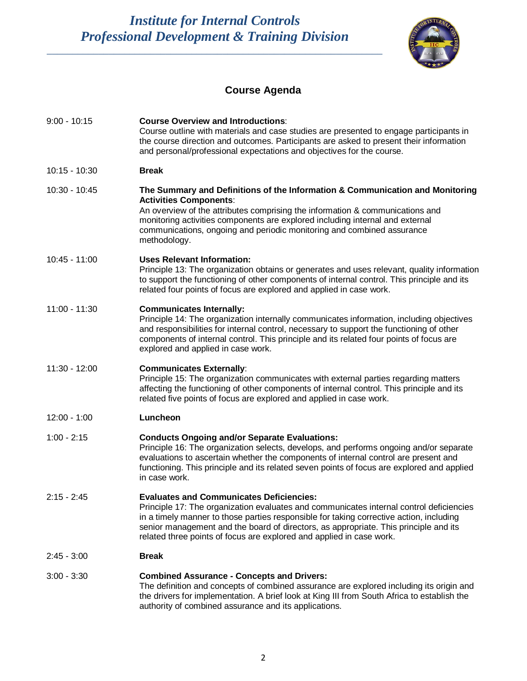*Institute for Internal Controls Professional Development & Training Division*

\_\_\_\_\_\_\_\_\_\_\_\_\_\_\_\_\_\_\_\_\_\_\_\_\_\_\_\_\_\_\_\_\_\_\_\_\_\_\_\_\_\_\_\_\_\_\_\_\_\_\_\_\_\_\_\_\_\_\_\_\_\_\_\_\_



# **Course Agenda**

| $9:00 - 10:15$  | <b>Course Overview and Introductions:</b><br>Course outline with materials and case studies are presented to engage participants in<br>the course direction and outcomes. Participants are asked to present their information<br>and personal/professional expectations and objectives for the course.                                                                                                |
|-----------------|-------------------------------------------------------------------------------------------------------------------------------------------------------------------------------------------------------------------------------------------------------------------------------------------------------------------------------------------------------------------------------------------------------|
| $10:15 - 10:30$ | <b>Break</b>                                                                                                                                                                                                                                                                                                                                                                                          |
| 10:30 - 10:45   | The Summary and Definitions of the Information & Communication and Monitoring<br><b>Activities Components:</b><br>An overview of the attributes comprising the information & communications and<br>monitoring activities components are explored including internal and external<br>communications, ongoing and periodic monitoring and combined assurance<br>methodology.                            |
| $10:45 - 11:00$ | <b>Uses Relevant Information:</b><br>Principle 13: The organization obtains or generates and uses relevant, quality information<br>to support the functioning of other components of internal control. This principle and its<br>related four points of focus are explored and applied in case work.                                                                                                  |
| $11:00 - 11:30$ | <b>Communicates Internally:</b><br>Principle 14: The organization internally communicates information, including objectives<br>and responsibilities for internal control, necessary to support the functioning of other<br>components of internal control. This principle and its related four points of focus are<br>explored and applied in case work.                                              |
| 11:30 - 12:00   | <b>Communicates Externally:</b><br>Principle 15: The organization communicates with external parties regarding matters<br>affecting the functioning of other components of internal control. This principle and its<br>related five points of focus are explored and applied in case work.                                                                                                            |
| $12:00 - 1:00$  | Luncheon                                                                                                                                                                                                                                                                                                                                                                                              |
| $1:00 - 2:15$   | <b>Conducts Ongoing and/or Separate Evaluations:</b><br>Principle 16: The organization selects, develops, and performs ongoing and/or separate<br>evaluations to ascertain whether the components of internal control are present and<br>functioning. This principle and its related seven points of focus are explored and applied<br>in case work.                                                  |
| $2:15 - 2:45$   | <b>Evaluates and Communicates Deficiencies:</b><br>Principle 17: The organization evaluates and communicates internal control deficiencies<br>in a timely manner to those parties responsible for taking corrective action, including<br>senior management and the board of directors, as appropriate. This principle and its<br>related three points of focus are explored and applied in case work. |
| $2:45 - 3:00$   | <b>Break</b>                                                                                                                                                                                                                                                                                                                                                                                          |
| $3:00 - 3:30$   | <b>Combined Assurance - Concepts and Drivers:</b><br>The definition and concepts of combined assurance are explored including its origin and<br>the drivers for implementation. A brief look at King III from South Africa to establish the<br>authority of combined assurance and its applications.                                                                                                  |